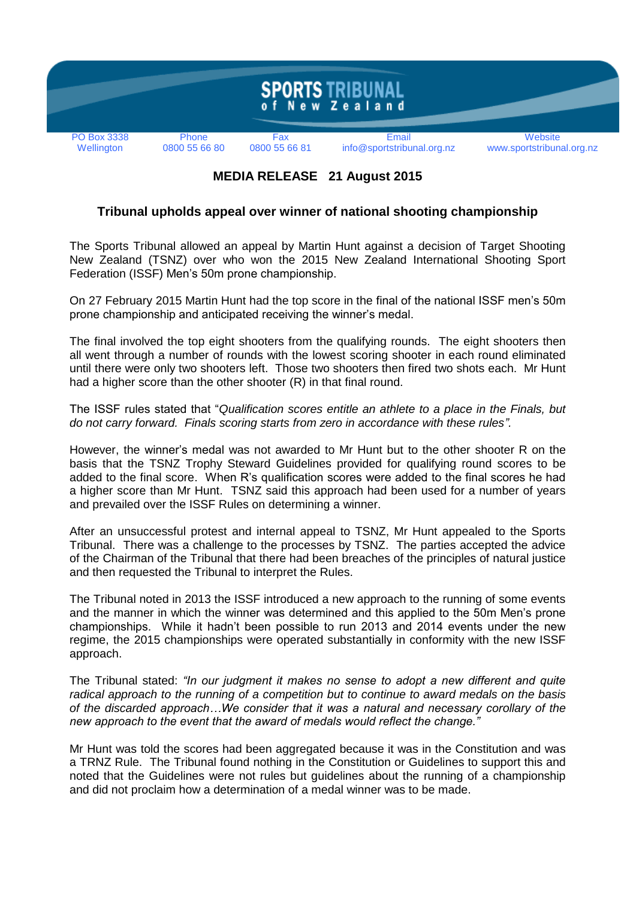

## **MEDIA RELEASE 21 August 2015**

## **Tribunal upholds appeal over winner of national shooting championship**

The Sports Tribunal allowed an appeal by Martin Hunt against a decision of Target Shooting New Zealand (TSNZ) over who won the 2015 New Zealand International Shooting Sport Federation (ISSF) Men's 50m prone championship.

On 27 February 2015 Martin Hunt had the top score in the final of the national ISSF men's 50m prone championship and anticipated receiving the winner's medal.

The final involved the top eight shooters from the qualifying rounds. The eight shooters then all went through a number of rounds with the lowest scoring shooter in each round eliminated until there were only two shooters left. Those two shooters then fired two shots each. Mr Hunt had a higher score than the other shooter (R) in that final round.

The ISSF rules stated that "*Qualification scores entitle an athlete to a place in the Finals, but do not carry forward. Finals scoring starts from zero in accordance with these rules".*

However, the winner's medal was not awarded to Mr Hunt but to the other shooter R on the basis that the TSNZ Trophy Steward Guidelines provided for qualifying round scores to be added to the final score. When R's qualification scores were added to the final scores he had a higher score than Mr Hunt. TSNZ said this approach had been used for a number of years and prevailed over the ISSF Rules on determining a winner.

After an unsuccessful protest and internal appeal to TSNZ, Mr Hunt appealed to the Sports Tribunal. There was a challenge to the processes by TSNZ. The parties accepted the advice of the Chairman of the Tribunal that there had been breaches of the principles of natural justice and then requested the Tribunal to interpret the Rules.

The Tribunal noted in 2013 the ISSF introduced a new approach to the running of some events and the manner in which the winner was determined and this applied to the 50m Men's prone championships. While it hadn't been possible to run 2013 and 2014 events under the new regime, the 2015 championships were operated substantially in conformity with the new ISSF approach.

The Tribunal stated: *"In our judgment it makes no sense to adopt a new different and quite radical approach to the running of a competition but to continue to award medals on the basis of the discarded approach…We consider that it was a natural and necessary corollary of the new approach to the event that the award of medals would reflect the change."*

Mr Hunt was told the scores had been aggregated because it was in the Constitution and was a TRNZ Rule. The Tribunal found nothing in the Constitution or Guidelines to support this and noted that the Guidelines were not rules but guidelines about the running of a championship and did not proclaim how a determination of a medal winner was to be made.